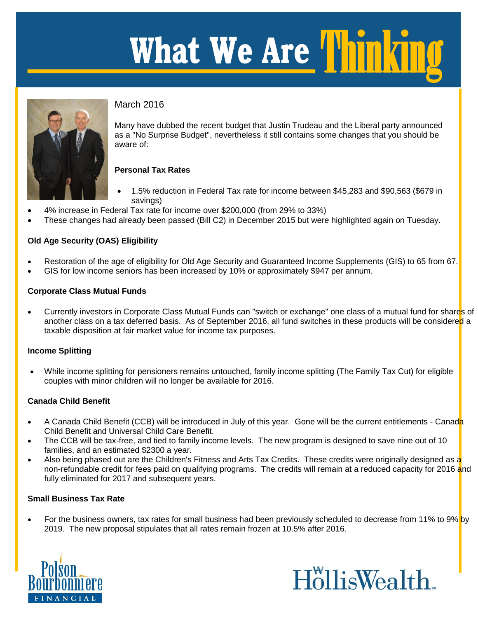# **What We Are**  Thinking



# March 2016

March 2016<br>Many have dubbed the recent budget that Justin Trudeau and the Liberal party announced<br>And This Curretics Purking a purching of the till participa came also appeal between bould be as a "No Surprise Budget", nevertheless it still contains some changes that you should be aware of:

# **Personal Tax Rates**

- 1.5% reduction in Federal Tax rate for income between \$45,283 and \$90,563 (\$679 in savings)
- 4% increase in Federal Tax rate for income over \$200,000 (from 29% to 33%)
- These changes had already been passed (Bill C2) in December 2015 but were highlighted again on Tuesday.

# **Old Age Security (OAS) Eligibility**

- Restoration of the age of eligibility for Old Age Security and Guaranteed Income Supplements (GIS) to 65 from 67.
- GIS for low income seniors has been increased by 10% or approximately \$947 per annum.

#### **Corporate Class Mutual Funds**

Currently investors in Corporate Class Mutual Funds can "switch or exchange" one class of a mutual fund for shares of another class on a tax deferred basis. As of September 2016, all fund switches in these products will be considered a taxable disposition at fair market value for income tax purposes.

## **Income Splitting**

 While income splitting for pensioners remains untouched, family income splitting (The Family Tax Cut) for eligible couples with minor children will no longer be available for 2016.

## **Canada Child Benefit**

- A Canada Child Benefit (CCB) will be introduced in July of this year. Gone will be the current entitlements Canada Child Benefit and Universal Child Care Benefit.
- The CCB will be tax-free, and tied to family income levels. The new program is designed to save nine out of 10 families, and an estimated \$2300 a year.
- Also being phased out are the Children's Fitness and Arts Tax Credits. These credits were originally designed as a non-refundable credit for fees paid on qualifying programs. The credits will remain at a reduced capacity for 2016 and fully eliminated for 2017 and subsequent years.

## **Small Business Tax Rate**

For the business owners, tax rates for small business had been previously scheduled to decrease from 11% to 9% by 2019. The new proposal stipulates that all rates remain frozen at 10.5% after 2016.